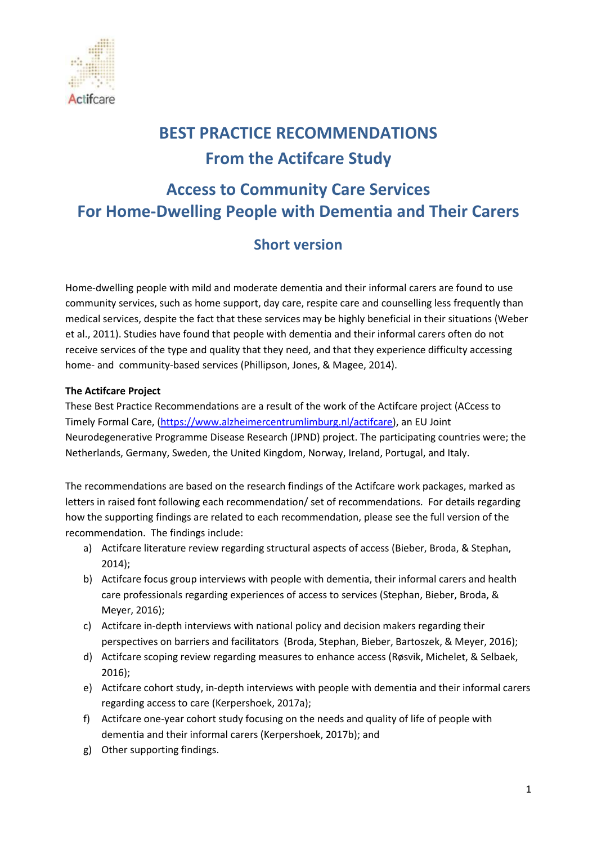

# **BEST PRACTICE RECOMMENDATIONS From the Actifcare Study**

## **Access to Community Care Services For Home-Dwelling People with Dementia and Their Carers**

## **Short version**

Home-dwelling people with mild and moderate dementia and their informal carers are found to use community services, such as home support, day care, respite care and counselling less frequently than medical services, despite the fact that these services may be highly beneficial in their situations (Weber et al., 2011). Studies have found that people with dementia and their informal carers often do not receive services of the type and quality that they need, and that they experience difficulty accessing home- and community-based services (Phillipson, Jones, & Magee, 2014).

#### **The Actifcare Project**

These Best Practice Recommendations are a result of the work of the Actifcare project (ACcess to Timely Formal Care, [\(https://www.alzheimercentrumlimburg.nl/actifcare\)](https://www.alzheimercentrumlimburg.nl/actifcare), an EU Joint Neurodegenerative Programme Disease Research (JPND) project. The participating countries were; the Netherlands, Germany, Sweden, the United Kingdom, Norway, Ireland, Portugal, and Italy.

The recommendations are based on the research findings of the Actifcare work packages, marked as letters in raised font following each recommendation/ set of recommendations. For details regarding how the supporting findings are related to each recommendation, please see the full version of the recommendation. The findings include:

- a) Actifcare literature review regarding structural aspects of access (Bieber, Broda, & Stephan, 2014);
- b) Actifcare focus group interviews with people with dementia, their informal carers and health care professionals regarding experiences of access to services (Stephan, Bieber, Broda, & Meyer, 2016);
- c) Actifcare in-depth interviews with national policy and decision makers regarding their perspectives on barriers and facilitators (Broda, Stephan, Bieber, Bartoszek, & Meyer, 2016);
- d) Actifcare scoping review regarding measures to enhance access (Røsvik, Michelet, & Selbaek, 2016);
- e) Actifcare cohort study, in-depth interviews with people with dementia and their informal carers regarding access to care (Kerpershoek, 2017a);
- f) Actifcare one-year cohort study focusing on the needs and quality of life of people with dementia and their informal carers (Kerpershoek, 2017b); and
- g) Other supporting findings.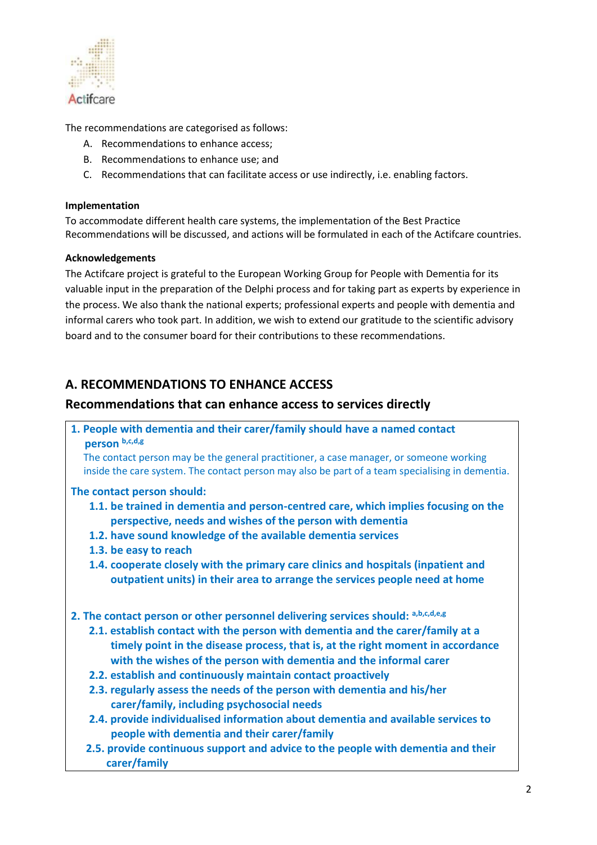

The recommendations are categorised as follows:

- A. Recommendations to enhance access;
- B. Recommendations to enhance use; and
- C. Recommendations that can facilitate access or use indirectly, i.e. enabling factors.

#### **Implementation**

To accommodate different health care systems, the implementation of the Best Practice Recommendations will be discussed, and actions will be formulated in each of the Actifcare countries.

#### **Acknowledgements**

The Actifcare project is grateful to the European Working Group for People with Dementia for its valuable input in the preparation of the Delphi process and for taking part as experts by experience in the process. We also thank the national experts; professional experts and people with dementia and informal carers who took part. In addition, we wish to extend our gratitude to the scientific advisory board and to the consumer board for their contributions to these recommendations.

## **A. RECOMMENDATIONS TO ENHANCE ACCESS**

#### **Recommendations that can enhance access to services directly**

**1. People with dementia and their carer/family should have a named contact person b,c,d,g**

 The contact person may be the general practitioner, a case manager, or someone working inside the care system. The contact person may also be part of a team specialising in dementia.

#### **The contact person should:**

- **1.1. be trained in dementia and person-centred care, which implies focusing on the perspective, needs and wishes of the person with dementia**
- **1.2. have sound knowledge of the available dementia services**
- **1.3. be easy to reach**
- **1.4. cooperate closely with the primary care clinics and hospitals (inpatient and outpatient units) in their area to arrange the services people need at home**

#### **2. The contact person or other personnel delivering services should: a,b,c,d,e,g**

- **2.1. establish contact with the person with dementia and the carer/family at a timely point in the disease process, that is, at the right moment in accordance with the wishes of the person with dementia and the informal carer**
- **2.2. establish and continuously maintain contact proactively**
- **2.3. regularly assess the needs of the person with dementia and his/her carer/family, including psychosocial needs**
- **2.4. provide individualised information about dementia and available services to people with dementia and their carer/family**
- **2.5. provide continuous support and advice to the people with dementia and their carer/family**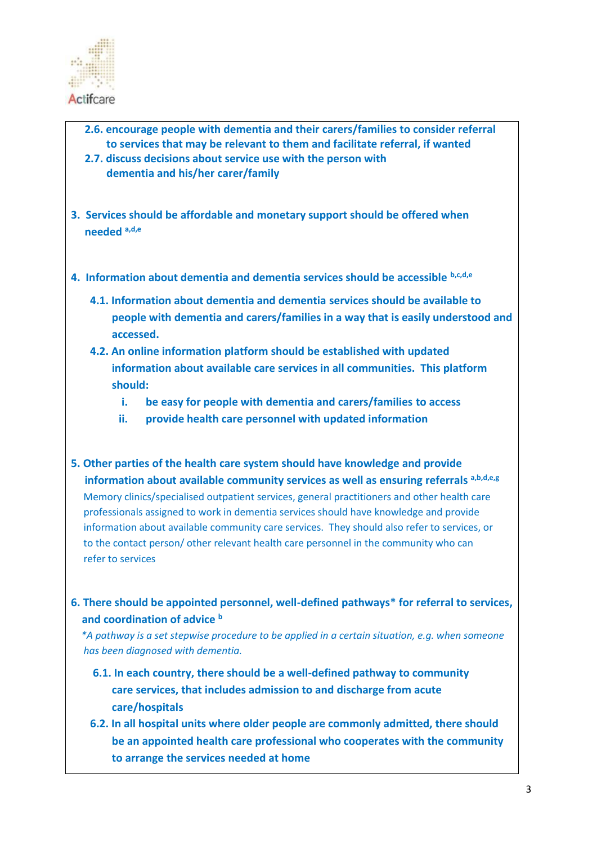

- **2.6. encourage people with dementia and their carers/families to consider referral to services that may be relevant to them and facilitate referral, if wanted**
- **2.7. discuss decisions about service use with the person with dementia and his/her carer/family**
- **3. Services should be affordable and monetary support should be offered when needed a,d,e**
- **4. Information about dementia and dementia services should be accessible b,c,d,e**
	- **4.1. Information about dementia and dementia services should be available to people with dementia and carers/families in a way that is easily understood and accessed.**
	- **4.2. An online information platform should be established with updated information about available care services in all communities. This platform should:**
		- **i. be easy for people with dementia and carers/families to access**
		- **ii. provide health care personnel with updated information**
- **5. Other parties of the health care system should have knowledge and provide information about available community services as well as ensuring referrals a,b,d,e,g** Memory clinics/specialised outpatient services, general practitioners and other health care professionals assigned to work in dementia services should have knowledge and provide information about available community care services. They should also refer to services, or to the contact person/ other relevant health care personnel in the community who can refer to services
- **6. There should be appointed personnel, well-defined pathways\* for referral to services, and coordination of advice <sup>b</sup>**

 *\*A pathway is a set stepwise procedure to be applied in a certain situation, e.g. when someone has been diagnosed with dementia.*

- **6.1. In each country, there should be a well-defined pathway to community care services, that includes admission to and discharge from acute care/hospitals**
- **6.2. In all hospital units where older people are commonly admitted, there should be an appointed health care professional who cooperates with the community to arrange the services needed at home**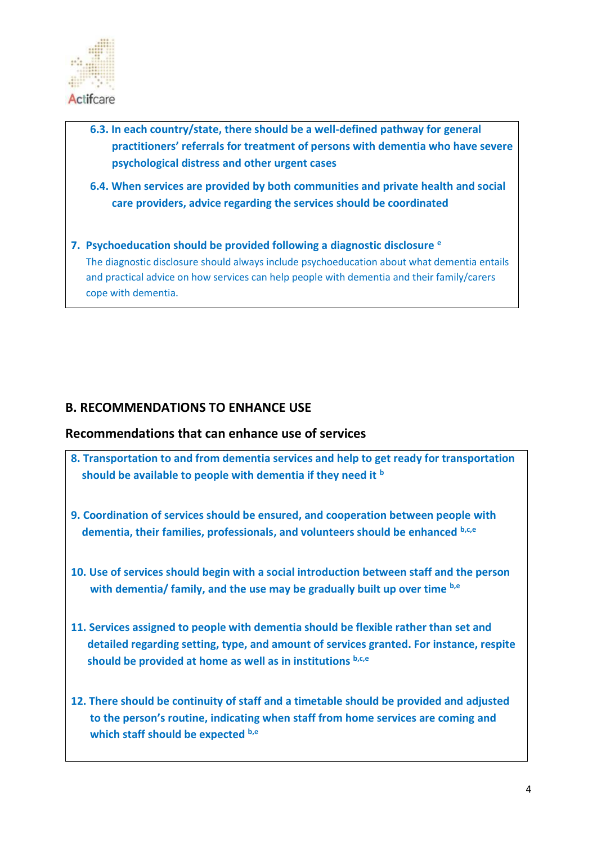

- **6.3. In each country/state, there should be a well-defined pathway for general practitioners' referrals for treatment of persons with dementia who have severe psychological distress and other urgent cases**
- **6.4. When services are provided by both communities and private health and social care providers, advice regarding the services should be coordinated**
- **7. Psychoeducation should be provided following a diagnostic disclosure <sup>e</sup>** The diagnostic disclosure should always include psychoeducation about what dementia entails and practical advice on how services can help people with dementia and their family/carers cope with dementia.

## **B. RECOMMENDATIONS TO ENHANCE USE**

#### **Recommendations that can enhance use of services**

- **8. Transportation to and from dementia services and help to get ready for transportation should be available to people with dementia if they need it <sup>b</sup>**
- **9. Coordination of services should be ensured, and cooperation between people with dementia, their families, professionals, and volunteers should be enhanced b,c,e**
- **10. Use of services should begin with a social introduction between staff and the person with dementia/ family, and the use may be gradually built up over time b,e**
- **11. Services assigned to people with dementia should be flexible rather than set and detailed regarding setting, type, and amount of services granted. For instance, respite should be provided at home as well as in institutions b,c,e**
- **12. There should be continuity of staff and a timetable should be provided and adjusted to the person's routine, indicating when staff from home services are coming and which staff should be expected b,e**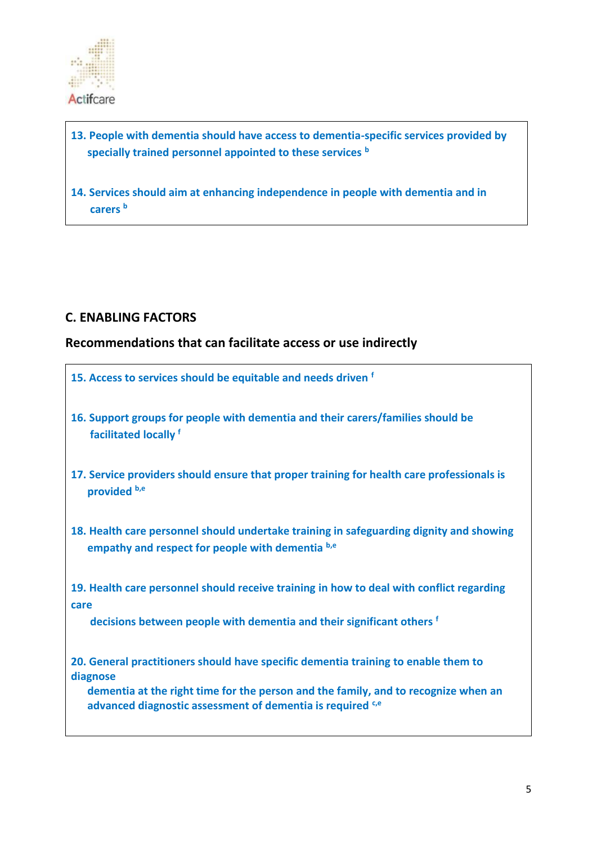

## **13. People with dementia should have access to dementia-specific services provided by specially trained personnel appointed to these services <sup>b</sup>**

**14. Services should aim at enhancing independence in people with dementia and in carers <sup>b</sup>**

## **C. ENABLING FACTORS**

## **Recommendations that can facilitate access or use indirectly**

- **15. Access to services should be equitable and needs driven <sup>f</sup>**
- **16. Support groups for people with dementia and their carers/families should be facilitated locally f**
- **17. Service providers should ensure that proper training for health care professionals is provided b,e**
- **18. Health care personnel should undertake training in safeguarding dignity and showing empathy and respect for people with dementia b,e**

**19. Health care personnel should receive training in how to deal with conflict regarding care** 

 **decisions between people with dementia and their significant others <sup>f</sup>**

**20. General practitioners should have specific dementia training to enable them to diagnose** 

 **dementia at the right time for the person and the family, and to recognize when an advanced diagnostic assessment of dementia is required c,e**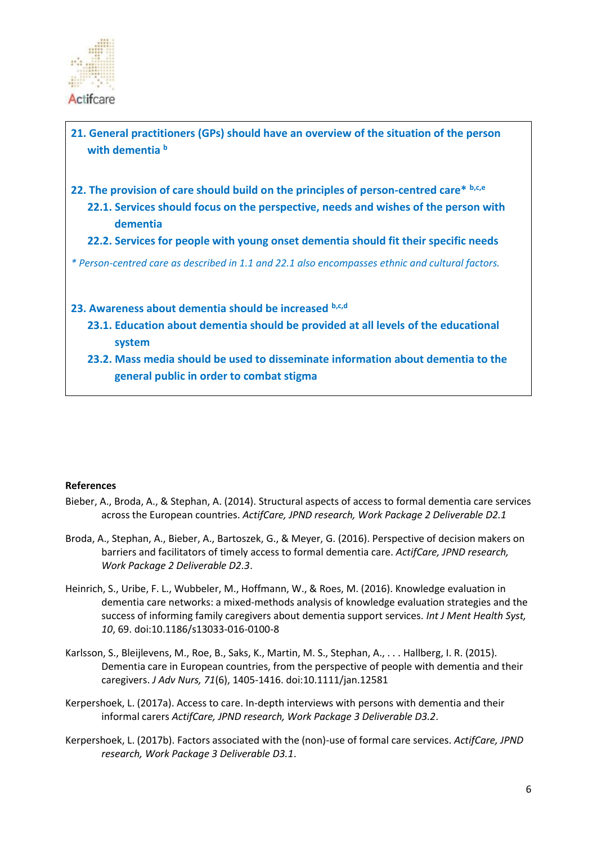

**21. General practitioners (GPs) should have an overview of the situation of the person with dementia <sup>b</sup>**

- **22. The provision of care should build on the principles of person-centred care\* b,c,e**
	- **22.1. Services should focus on the perspective, needs and wishes of the person with dementia**
	- **22.2. Services for people with young onset dementia should fit their specific needs**

*\* Person-centred care as described in 1.1 and 22.1 also encompasses ethnic and cultural factors.* 

#### **23. Awareness about dementia should be increased b,c,d**

- **23.1. Education about dementia should be provided at all levels of the educational system**
- **23.2. Mass media should be used to disseminate information about dementia to the general public in order to combat stigma**

#### **References**

- Bieber, A., Broda, A., & Stephan, A. (2014). Structural aspects of access to formal dementia care services across the European countries. *ActifCare, JPND research, Work Package 2 Deliverable D2.1*
- Broda, A., Stephan, A., Bieber, A., Bartoszek, G., & Meyer, G. (2016). Perspective of decision makers on barriers and facilitators of timely access to formal dementia care. *ActifCare, JPND research, Work Package 2 Deliverable D2.3*.
- Heinrich, S., Uribe, F. L., Wubbeler, M., Hoffmann, W., & Roes, M. (2016). Knowledge evaluation in dementia care networks: a mixed-methods analysis of knowledge evaluation strategies and the success of informing family caregivers about dementia support services. *Int J Ment Health Syst, 10*, 69. doi:10.1186/s13033-016-0100-8
- Karlsson, S., Bleijlevens, M., Roe, B., Saks, K., Martin, M. S., Stephan, A., . . . Hallberg, I. R. (2015). Dementia care in European countries, from the perspective of people with dementia and their caregivers. *J Adv Nurs, 71*(6), 1405-1416. doi:10.1111/jan.12581
- Kerpershoek, L. (2017a). Access to care. In-depth interviews with persons with dementia and their informal carers *ActifCare, JPND research, Work Package 3 Deliverable D3.2*.
- Kerpershoek, L. (2017b). Factors associated with the (non)-use of formal care services. *ActifCare, JPND research, Work Package 3 Deliverable D3.1*.